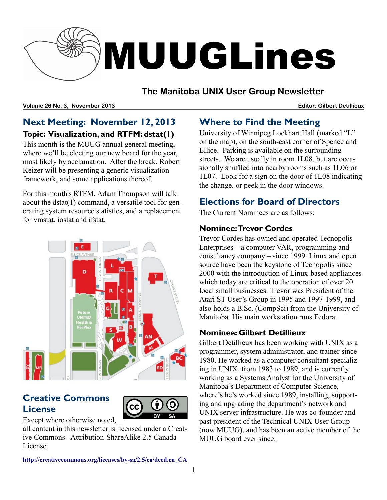

# **The Manitoba UNIX User Group Newsletter**

**Volume 26 No. 3, November 2013 Editor: Gilbert Detillieux**

# **Next Meeting: November 12, 2013 Topic: Visualization, and RTFM: dstat(1)**

This month is the MUUG annual general meeting, where we'll be electing our new board for the year, most likely by acclamation. After the break, Robert Keizer will be presenting a generic visualization framework, and some applications thereof.

For this month's RTFM, Adam Thompson will talk about the dstat(1) command, a versatile tool for generating system resource statistics, and a replacement for vmstat, iostat and ifstat.

# **Creative Commons License**



Except where otherwise noted,

all content in this newsletter is licensed under a Creative Commons Attribution-ShareAlike 2.5 Canada License.

# **Where to Find the Meeting**

University of Winnipeg Lockhart Hall (marked "L" on the map), on the south-east corner of Spence and Ellice. Parking is available on the surrounding streets. We are usually in room 1L08, but are occasionally shuffled into nearby rooms such as 1L06 or 1L07. Look for a sign on the door of 1L08 indicating the change, or peek in the door windows.

# **Elections for Board of Directors**

The Current Nominees are as follows:

#### **Nominee: Trevor Cordes**

Trevor Cordes has owned and operated Tecnopolis Enterprises – a computer VAR, programming and consultancy company – since 1999. Linux and open source have been the keystone of Tecnopolis since 2000 with the introduction of Linux-based appliances which today are critical to the operation of over 20 local small businesses. Trevor was President of the Atari ST User's Group in 1995 and 1997-1999, and also holds a B.Sc. (CompSci) from the University of Manitoba. His main workstation runs Fedora.

# **Nominee: Gilbert Detillieux**

Gilbert Detillieux has been working with UNIX as a programmer, system administrator, and trainer since 1980. He worked as a computer consultant specializing in UNIX, from 1983 to 1989, and is currently working as a Systems Analyst for the University of Manitoba's Department of Computer Science, where's he's worked since 1989, installing, supporting and upgrading the department's network and UNIX server infrastructure. He was co-founder and past president of the Technical UNIX User Group (now MUUG), and has been an active member of the MUUG board ever since.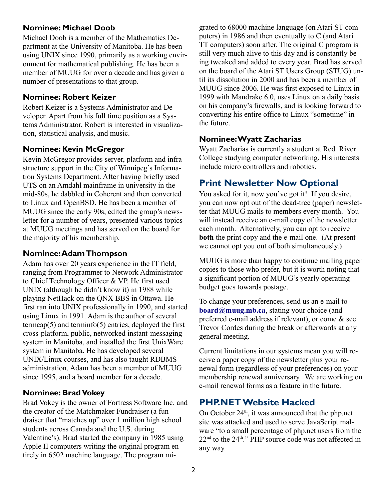#### **Nominee: Michael Doob**

Michael Doob is a member of the Mathematics Department at the University of Manitoba. He has been using UNIX since 1990, primarily as a working environment for mathematical publishing. He has been a member of MUUG for over a decade and has given a number of presentations to that group.

#### **Nominee: Robert Keizer**

Robert Keizer is a Systems Administrator and Developer. Apart from his full time position as a Systems Administrator, Robert is interested in visualization, statistical analysis, and music.

#### **Nominee: Kevin McGregor**

Kevin McGregor provides server, platform and infrastructure support in the City of Winnipeg's Information Systems Department. After having briefly used UTS on an Amdahl mainframe in university in the mid-80s, he dabbled in Coherent and then converted to Linux and OpenBSD. He has been a member of MUUG since the early 90s, edited the group's newsletter for a number of years, presented various topics at MUUG meetings and has served on the board for the majority of his membership.

#### **Nominee: Adam Thompson**

Adam has over 20 years experience in the IT field, ranging from Programmer to Network Administrator to Chief Technology Officer & VP. He first used UNIX (although he didn't know it) in 1988 while playing NetHack on the QNX BBS in Ottawa. He first ran into UNIX professionally in 1990, and started using Linux in 1991. Adam is the author of several termcap $(5)$  and terminfo $(5)$  entries, deployed the first cross-platform, public, networked instant-messaging system in Manitoba, and installed the first UnixWare system in Manitoba. He has developed several UNIX/Linux courses, and has also taught RDBMS administration. Adam has been a member of MUUG since 1995, and a board member for a decade.

#### **Nominee: Brad Vokey**

Brad Vokey is the owner of Fortress Software Inc. and the creator of the Matchmaker Fundraiser (a fundraiser that "matches up" over 1 million high school students across Canada and the U.S. during Valentine's). Brad started the company in 1985 using Apple II computers writing the original program entirely in 6502 machine language. The program migrated to 68000 machine language (on Atari ST computers) in 1986 and then eventually to C (and Atari TT computers) soon after. The original C program is still very much alive to this day and is constantly being tweaked and added to every year. Brad has served on the board of the Atari ST Users Group (STUG) until its dissolution in 2000 and has been a member of MUUG since 2006. He was first exposed to Linux in 1999 with Mandrake 6.0, uses Linux on a daily basis on his company's firewalls, and is looking forward to converting his entire office to Linux "sometime" in the future.

#### **Nominee: Wyatt Zacharias**

Wyatt Zacharias is currently a student at Red River College studying computer networking. His interests include micro controllers and robotics.

# **Print Newsletter Now Optional**

You asked for it, now you've got it! If you desire, you can now opt out of the dead-tree (paper) newsletter that MUUG mails to members every month. You will instead receive an e-mail copy of the newsletter each month. Alternatively, you can opt to receive **both** the print copy and the e-mail one. (At present we cannot opt you out of both simultaneously.)

MUUG is more than happy to continue mailing paper copies to those who prefer, but it is worth noting that a significant portion of MUUG's yearly operating budget goes towards postage.

To change your preferences, send us an e-mail to **[board@muug.mb.ca](mailto:board@muug.mb.ca)**, stating your choice (and preferred e-mail address if relevant), or come & see Trevor Cordes during the break or afterwards at any general meeting.

Current limitations in our systems mean you will receive a paper copy of the newsletter plus your renewal form (regardless of your preferences) on your membership renewal anniversary. We are working on e-mail renewal forms as a feature in the future.

# **PHP.NET Website Hacked**

On October  $24<sup>th</sup>$ , it was announced that the php.net site was attacked and used to serve JavaScript malware "to a small percentage of php.net users from the  $22<sup>nd</sup>$  to the  $24<sup>th</sup>$ ." PHP source code was not affected in any way.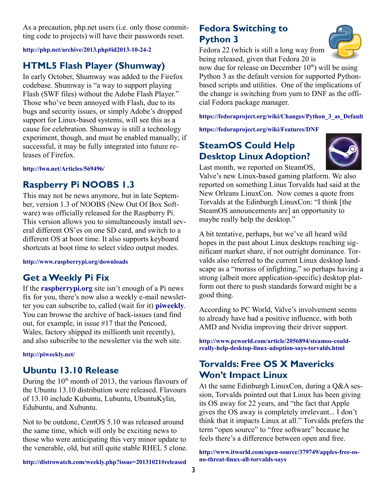As a precaution, php.net users (i.e. only those committing code to projects) will have their passwords reset.

#### **<http://php.net/archive/2013.php#id2013-10-24-2>**

# **HTML5 Flash Player (Shumway)**

In early October, Shumway was added to the Firefox codebase. Shumway is "a way to support playing Flash (SWF files) without the Adobe Flash Player." Those who've been annoyed with Flash, due to its bugs and security issues, or simply Adobe's dropped support for Linux-based systems, will see this as a cause for celebration. Shumway is still a technology experiment, though, and must be enabled manually; if successful, it may be fully integrated into future releases of Firefox.

**<http://lwn.net/Articles/569496/>**

#### **Raspberry Pi NOOBS 1.3**

This may not be news anymore, but in late September, version 1.3 of NOOBS (New Out Of Box Software) was officially released for the Raspberry Pi. This version allows you to simultaneously install several different OS'es on one SD card, and switch to a different OS at boot time. It also supports keyboard shortcuts at boot time to select video output modes.

**<http://www.raspberrypi.org/downloads>**

#### **Get a Weekly Pi Fix**

If the **[raspberrypi.org](http://raspberrypi.org/)** site isn't enough of a Pi news fix for you, there's now also a weekly e-mail newsletter you can subscribe to, called (wait for it) **[piweekly](http://piweekly.net/)**. You can browse the archive of back-issues (and find out, for example, in issue #17 that the Pencoed, Wales, factory shipped its millionth unit recently), and also subscribe to the newsletter via the web site.

#### **<http://piweekly.net/>**

#### **Ubuntu 13.10 Release**

During the  $10<sup>th</sup>$  month of 2013, the various flavours of the Ubuntu 13.10 distribution were released. Flavours of 13.10 include Kubuntu, Lubuntu, UbuntuKylin, Edubuntu, and Xubuntu.

Not to be outdone, CentOS 5.10 was released around the same time, which will only be exciting news to those who were anticipating this very minor update to the venerable, old, but still quite stable RHEL 5 clone.

#### **Fedora Switching to Python 3**

Fedora 22 (which is still a long way from being released, given that Fedora 20 is



now due for release on December  $10<sup>th</sup>$ ) will be using Python 3 as the default version for supported Pythonbased scripts and utilities. One of the implications of the change is switching from yum to DNF as the official Fedora package manager.

**[https://fedoraproject.org/wiki/Changes/Python\\_3\\_as\\_Default](https://fedoraproject.org/wiki/Changes/Python_3_as_Default)**

**<https://fedoraproject.org/wiki/Features/DNF>**

### **SteamOS Could Help Desktop Linux Adoption?**

Last month, we reported on SteamOS,



Valve's new Linux-based gaming platform. We also reported on something Linus Torvalds had said at the New Orleans LinuxCon. Now comes a quote from Torvalds at the Edinburgh LinuxCon: "I think [the SteamOS announcements are] an opportunity to maybe really help the desktop."

A bit tentative, perhaps, but we've all heard wild hopes in the past about Linux desktops reaching significant market share, if not outright dominance. Torvalds also referred to the current Linux desktop landscape as a "morass of infighting," so perhaps having a strong (albeit more application-specific) desktop platform out there to push standards forward might be a good thing.

According to PC World, Valve's involvement seems to already have had a positive influence, with both AMD and Nvidia improving their driver support.

**[http://www.pcworld.com/article/2056894/steamos-could](http://www.pcworld.com/article/2056894/steamos-could-really-help-desktop-linux-adoption-says-torvalds.html)[really-help-desktop-linux-adoption-says-torvalds.html](http://www.pcworld.com/article/2056894/steamos-could-really-help-desktop-linux-adoption-says-torvalds.html)**

### **Torvalds: Free OS X Mavericks Won't Impact Linux**

At the same Edinburgh LinuxCon, during a Q&A session, Torvalds pointed out that Linux has been giving its OS away for 22 years, and "the fact that Apple gives the OS away is completely irrelevant... I don't think that it impacts Linux at all." Torvalds prefers the term "open source" to "free software" because he feels there's a difference between open and free.

**[http://www.itworld.com/open-source/379749/apples-free-os](http://www.itworld.com/open-source/379749/apples-free-os-no-threat-linux-all-torvalds-says)[no-threat-linux-all-torvalds-says](http://www.itworld.com/open-source/379749/apples-free-os-no-threat-linux-all-torvalds-says)**

**<http://distrowatch.com/weekly.php?issue=20131021#released>**